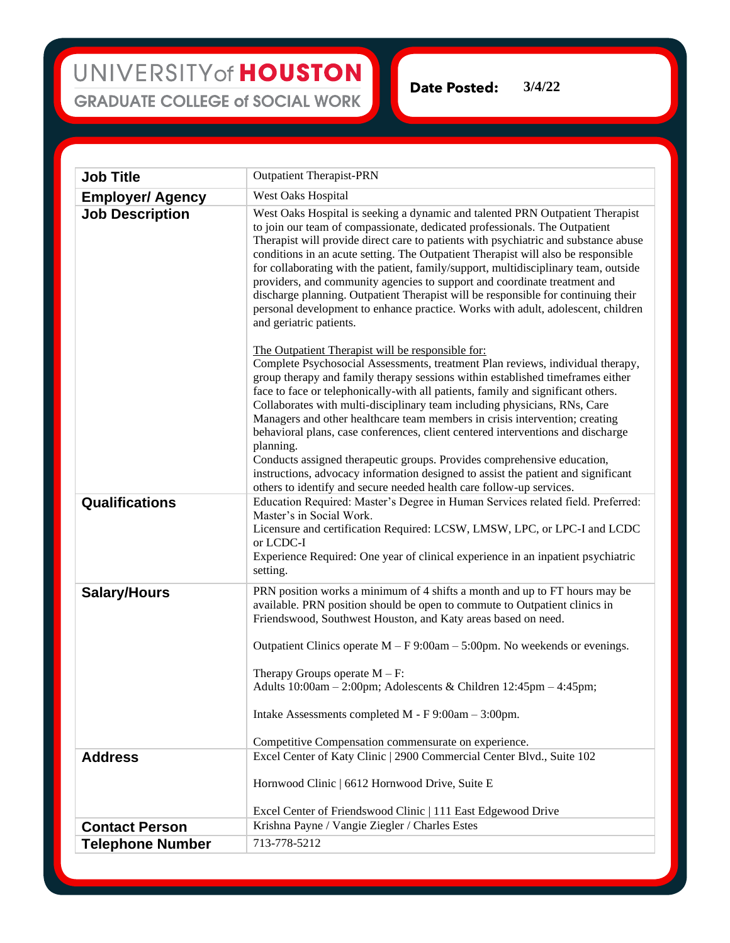## UNIVERSITY of HOUSTON **GRADUATE COLLEGE of SOCIAL WORK**

**Date Posted: 3/4/22**

| <b>Job Title</b>        | <b>Outpatient Therapist-PRN</b>                                                                                                                                                                                                                                                                                                                                                                                                                                                                                                                                                                                                                                                                                                                                                                               |
|-------------------------|---------------------------------------------------------------------------------------------------------------------------------------------------------------------------------------------------------------------------------------------------------------------------------------------------------------------------------------------------------------------------------------------------------------------------------------------------------------------------------------------------------------------------------------------------------------------------------------------------------------------------------------------------------------------------------------------------------------------------------------------------------------------------------------------------------------|
| <b>Employer/ Agency</b> | West Oaks Hospital                                                                                                                                                                                                                                                                                                                                                                                                                                                                                                                                                                                                                                                                                                                                                                                            |
| <b>Job Description</b>  | West Oaks Hospital is seeking a dynamic and talented PRN Outpatient Therapist<br>to join our team of compassionate, dedicated professionals. The Outpatient<br>Therapist will provide direct care to patients with psychiatric and substance abuse<br>conditions in an acute setting. The Outpatient Therapist will also be responsible<br>for collaborating with the patient, family/support, multidisciplinary team, outside<br>providers, and community agencies to support and coordinate treatment and<br>discharge planning. Outpatient Therapist will be responsible for continuing their<br>personal development to enhance practice. Works with adult, adolescent, children<br>and geriatric patients.                                                                                               |
|                         | The Outpatient Therapist will be responsible for:<br>Complete Psychosocial Assessments, treatment Plan reviews, individual therapy,<br>group therapy and family therapy sessions within established timeframes either<br>face to face or telephonically-with all patients, family and significant others.<br>Collaborates with multi-disciplinary team including physicians, RNs, Care<br>Managers and other healthcare team members in crisis intervention; creating<br>behavioral plans, case conferences, client centered interventions and discharge<br>planning.<br>Conducts assigned therapeutic groups. Provides comprehensive education,<br>instructions, advocacy information designed to assist the patient and significant<br>others to identify and secure needed health care follow-up services. |
| Qualifications          | Education Required: Master's Degree in Human Services related field. Preferred:<br>Master's in Social Work.<br>Licensure and certification Required: LCSW, LMSW, LPC, or LPC-I and LCDC<br>or LCDC-I<br>Experience Required: One year of clinical experience in an inpatient psychiatric<br>setting.                                                                                                                                                                                                                                                                                                                                                                                                                                                                                                          |
| <b>Salary/Hours</b>     | PRN position works a minimum of 4 shifts a month and up to FT hours may be<br>available. PRN position should be open to commute to Outpatient clinics in<br>Friendswood, Southwest Houston, and Katy areas based on need.<br>Outpatient Clinics operate $M - F9:00am - 5:00pm$ . No weekends or evenings.<br>Therapy Groups operate $M - F$ :<br>Adults 10:00am - 2:00pm; Adolescents & Children 12:45pm - 4:45pm;<br>Intake Assessments completed M - F 9:00am - 3:00pm.<br>Competitive Compensation commensurate on experience.                                                                                                                                                                                                                                                                             |
| <b>Address</b>          | Excel Center of Katy Clinic   2900 Commercial Center Blvd., Suite 102                                                                                                                                                                                                                                                                                                                                                                                                                                                                                                                                                                                                                                                                                                                                         |
|                         | Hornwood Clinic   6612 Hornwood Drive, Suite E                                                                                                                                                                                                                                                                                                                                                                                                                                                                                                                                                                                                                                                                                                                                                                |
|                         | Excel Center of Friendswood Clinic   111 East Edgewood Drive                                                                                                                                                                                                                                                                                                                                                                                                                                                                                                                                                                                                                                                                                                                                                  |
| <b>Contact Person</b>   | Krishna Payne / Vangie Ziegler / Charles Estes                                                                                                                                                                                                                                                                                                                                                                                                                                                                                                                                                                                                                                                                                                                                                                |
| <b>Telephone Number</b> | 713-778-5212                                                                                                                                                                                                                                                                                                                                                                                                                                                                                                                                                                                                                                                                                                                                                                                                  |